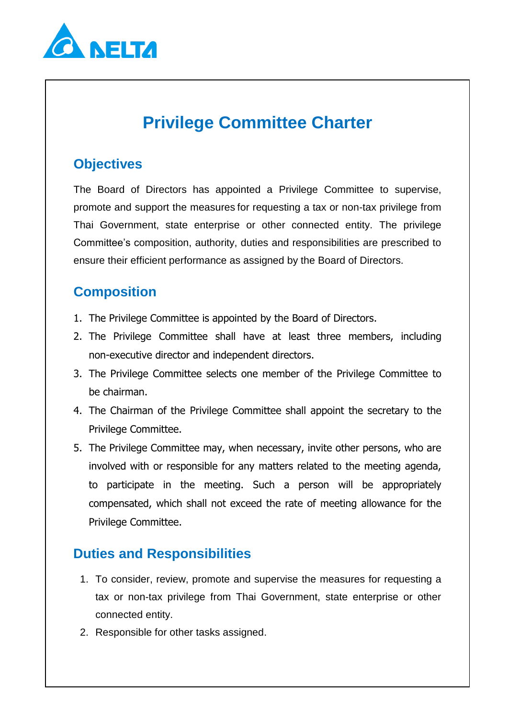

# **Privilege Committee Charter**

## **Objectives**

The Board of Directors has appointed a Privilege Committee to supervise, promote and support the measures for requesting a tax or non-tax privilege from Thai Government, state enterprise or other connected entity. The privilege Committee's composition, authority, duties and responsibilities are prescribed to ensure their efficient performance as assigned by the Board of Directors.

## **Composition**

- 1. The Privilege Committee is appointed by the Board of Directors.
- 2. The Privilege Committee shall have at least three members, including non-executive director and independent directors.
- 3. The Privilege Committee selects one member of the Privilege Committee to be chairman.
- 4. The Chairman of the Privilege Committee shall appoint the secretary to the Privilege Committee.
- 5. The Privilege Committee may, when necessary, invite other persons, who are involved with or responsible for any matters related to the meeting agenda, to participate in the meeting. Such a person will be appropriately compensated, which shall not exceed the rate of meeting allowance for the Privilege Committee.

# **Duties and Responsibilities**

- 1. To consider, review, promote and supervise the measures for requesting a tax or non-tax privilege from Thai Government, state enterprise or other connected entity.
- 2. Responsible for other tasks assigned.